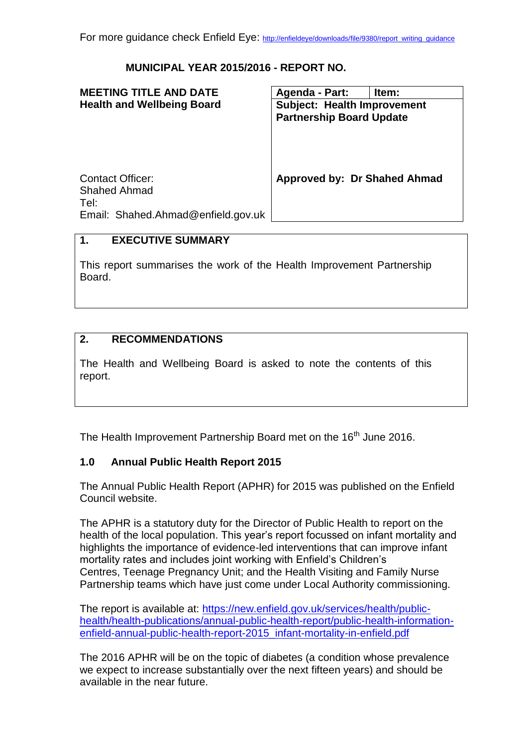### **MUNICIPAL YEAR 2015/2016 - REPORT NO.**

| <b>MEETING TITLE AND DATE</b>                                                                | Agenda - Part:                     | Item: |
|----------------------------------------------------------------------------------------------|------------------------------------|-------|
| <b>Health and Wellbeing Board</b>                                                            | <b>Subject: Health Improvement</b> |       |
|                                                                                              | <b>Partnership Board Update</b>    |       |
| <b>Contact Officer:</b><br><b>Shahed Ahmad</b><br>Tel:<br>Email: Shahed.Ahmad@enfield.gov.uk | Approved by: Dr Shahed Ahmad       |       |
|                                                                                              |                                    |       |

# **1. EXECUTIVE SUMMARY**

This report summarises the work of the Health Improvement Partnership Board.

### **2. RECOMMENDATIONS**

The Health and Wellbeing Board is asked to note the contents of this report.

The Health Improvement Partnership Board met on the 16<sup>th</sup> June 2016.

#### **1.0 Annual Public Health Report 2015**

The Annual Public Health Report (APHR) for 2015 was published on the Enfield Council website.

The APHR is a statutory duty for the Director of Public Health to report on the health of the local population. This year's report focussed on infant mortality and highlights the importance of evidence-led interventions that can improve infant mortality rates and includes joint working with Enfield's Children's Centres, Teenage Pregnancy Unit; and the Health Visiting and Family Nurse Partnership teams which have just come under Local Authority commissioning.

The report is available at: [https://new.enfield.gov.uk/services/health/public](https://new.enfield.gov.uk/services/health/public-health/health-publications/annual-public-health-report/public-health-information-enfield-annual-public-health-report-2015_infant-mortality-in-enfield.pdf)[health/health-publications/annual-public-health-report/public-health-information](https://new.enfield.gov.uk/services/health/public-health/health-publications/annual-public-health-report/public-health-information-enfield-annual-public-health-report-2015_infant-mortality-in-enfield.pdf)[enfield-annual-public-health-report-2015\\_infant-mortality-in-enfield.pdf](https://new.enfield.gov.uk/services/health/public-health/health-publications/annual-public-health-report/public-health-information-enfield-annual-public-health-report-2015_infant-mortality-in-enfield.pdf)

The 2016 APHR will be on the topic of diabetes (a condition whose prevalence we expect to increase substantially over the next fifteen years) and should be available in the near future.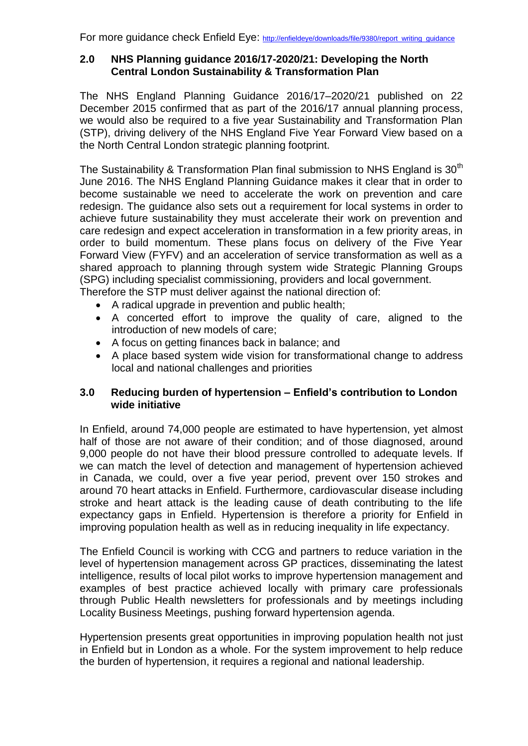For more quidance check Enfield Eye: http://enfieldeye/downloads/file/9380/report\_writing\_quidance

### **2.0 NHS Planning guidance 2016/17-2020/21: Developing the North Central London Sustainability & Transformation Plan**

The NHS England Planning Guidance 2016/17–2020/21 published on 22 December 2015 confirmed that as part of the 2016/17 annual planning process, we would also be required to a five year Sustainability and Transformation Plan (STP), driving delivery of the NHS England Five Year Forward View based on a the North Central London strategic planning footprint.

The Sustainability & Transformation Plan final submission to NHS England is 30<sup>th</sup> June 2016. The NHS England Planning Guidance makes it clear that in order to become sustainable we need to accelerate the work on prevention and care redesign. The guidance also sets out a requirement for local systems in order to achieve future sustainability they must accelerate their work on prevention and care redesign and expect acceleration in transformation in a few priority areas, in order to build momentum. These plans focus on delivery of the Five Year Forward View (FYFV) and an acceleration of service transformation as well as a shared approach to planning through system wide Strategic Planning Groups (SPG) including specialist commissioning, providers and local government. Therefore the STP must deliver against the national direction of:

- A radical upgrade in prevention and public health;
- A concerted effort to improve the quality of care, aligned to the introduction of new models of care;
- A focus on getting finances back in balance; and
- A place based system wide vision for transformational change to address local and national challenges and priorities

# **3.0 Reducing burden of hypertension – Enfield's contribution to London wide initiative**

In Enfield, around 74,000 people are estimated to have hypertension, yet almost half of those are not aware of their condition; and of those diagnosed, around 9,000 people do not have their blood pressure controlled to adequate levels. If we can match the level of detection and management of hypertension achieved in Canada, we could, over a five year period, prevent over 150 strokes and around 70 heart attacks in Enfield. Furthermore, cardiovascular disease including stroke and heart attack is the leading cause of death contributing to the life expectancy gaps in Enfield. Hypertension is therefore a priority for Enfield in improving population health as well as in reducing inequality in life expectancy.

The Enfield Council is working with CCG and partners to reduce variation in the level of hypertension management across GP practices, disseminating the latest intelligence, results of local pilot works to improve hypertension management and examples of best practice achieved locally with primary care professionals through Public Health newsletters for professionals and by meetings including Locality Business Meetings, pushing forward hypertension agenda.

Hypertension presents great opportunities in improving population health not just in Enfield but in London as a whole. For the system improvement to help reduce the burden of hypertension, it requires a regional and national leadership.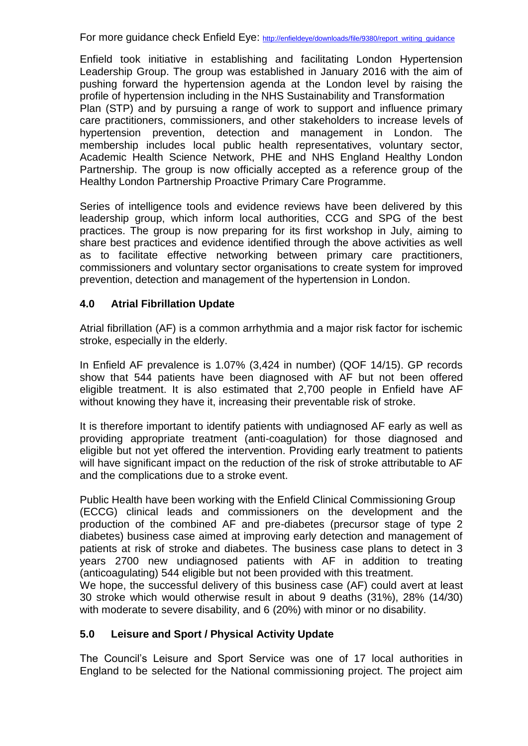For more quidance check Enfield Eye: http://enfieldeve/downloads/file/9380/report\_writing\_quidance

Enfield took initiative in establishing and facilitating London Hypertension Leadership Group. The group was established in January 2016 with the aim of pushing forward the hypertension agenda at the London level by raising the profile of hypertension including in the NHS Sustainability and Transformation Plan (STP) and by pursuing a range of work to support and influence primary care practitioners, commissioners, and other stakeholders to increase levels of hypertension prevention, detection and management in London. The membership includes local public health representatives, voluntary sector, Academic Health Science Network, PHE and NHS England Healthy London Partnership. The group is now officially accepted as a reference group of the Healthy London Partnership Proactive Primary Care Programme.

Series of intelligence tools and evidence reviews have been delivered by this leadership group, which inform local authorities, CCG and SPG of the best practices. The group is now preparing for its first workshop in July, aiming to share best practices and evidence identified through the above activities as well as to facilitate effective networking between primary care practitioners, commissioners and voluntary sector organisations to create system for improved prevention, detection and management of the hypertension in London.

# **4.0 Atrial Fibrillation Update**

Atrial fibrillation (AF) is a common arrhythmia and a major risk factor for ischemic stroke, especially in the elderly.

In Enfield AF prevalence is 1.07% (3,424 in number) (QOF 14/15). GP records show that 544 patients have been diagnosed with AF but not been offered eligible treatment. It is also estimated that 2,700 people in Enfield have AF without knowing they have it, increasing their preventable risk of stroke.

It is therefore important to identify patients with undiagnosed AF early as well as providing appropriate treatment (anti-coagulation) for those diagnosed and eligible but not yet offered the intervention. Providing early treatment to patients will have significant impact on the reduction of the risk of stroke attributable to AF and the complications due to a stroke event.

Public Health have been working with the Enfield Clinical Commissioning Group (ECCG) clinical leads and commissioners on the development and the production of the combined AF and pre-diabetes (precursor stage of type 2 diabetes) business case aimed at improving early detection and management of patients at risk of stroke and diabetes. The business case plans to detect in 3 years 2700 new undiagnosed patients with AF in addition to treating (anticoagulating) 544 eligible but not been provided with this treatment. We hope, the successful delivery of this business case (AF) could avert at least 30 stroke which would otherwise result in about 9 deaths (31%), 28% (14/30)

# **5.0 Leisure and Sport / Physical Activity Update**

The Council's Leisure and Sport Service was one of 17 local authorities in England to be selected for the National commissioning project. The project aim

with moderate to severe disability, and 6 (20%) with minor or no disability.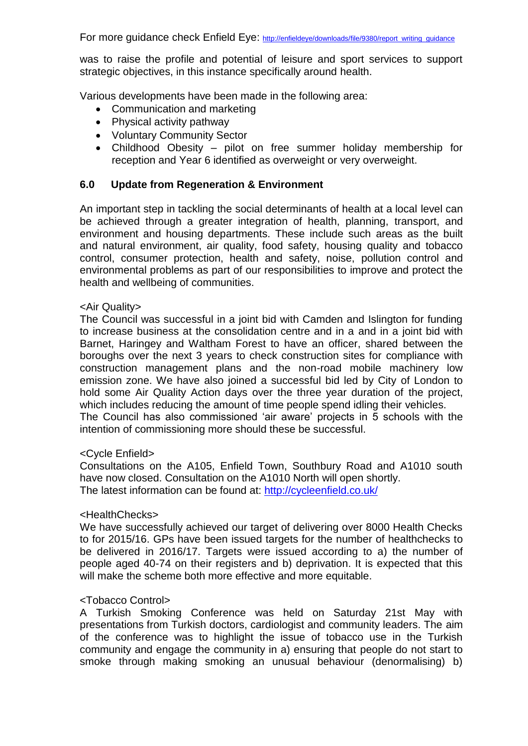was to raise the profile and potential of leisure and sport services to support strategic objectives, in this instance specifically around health.

Various developments have been made in the following area:

- Communication and marketing
- Physical activity pathway
- Voluntary Community Sector
- Childhood Obesity pilot on free summer holiday membership for reception and Year 6 identified as overweight or very overweight.

### **6.0 Update from Regeneration & Environment**

An important step in tackling the social determinants of health at a local level can be achieved through a greater integration of health, planning, transport, and environment and housing departments. These include such areas as the built and natural environment, air quality, food safety, housing quality and tobacco control, consumer protection, health and safety, noise, pollution control and environmental problems as part of our responsibilities to improve and protect the health and wellbeing of communities.

### <Air Quality>

The Council was successful in a joint bid with Camden and Islington for funding to increase business at the consolidation centre and in a and in a joint bid with Barnet, Haringey and Waltham Forest to have an officer, shared between the boroughs over the next 3 years to check construction sites for compliance with construction management plans and the non-road mobile machinery low emission zone. We have also joined a successful bid led by City of London to hold some Air Quality Action days over the three year duration of the project, which includes reducing the amount of time people spend idling their vehicles. The Council has also commissioned 'air aware' projects in 5 schools with the

intention of commissioning more should these be successful.

### <Cycle Enfield>

Consultations on the A105, Enfield Town, Southbury Road and A1010 south have now closed. Consultation on the A1010 North will open shortly. The latest information can be found at:<http://cycleenfield.co.uk/>

### <HealthChecks>

We have successfully achieved our target of delivering over 8000 Health Checks to for 2015/16. GPs have been issued targets for the number of healthchecks to be delivered in 2016/17. Targets were issued according to a) the number of people aged 40-74 on their registers and b) deprivation. It is expected that this will make the scheme both more effective and more equitable.

### <Tobacco Control>

A Turkish Smoking Conference was held on Saturday 21st May with presentations from Turkish doctors, cardiologist and community leaders. The aim of the conference was to highlight the issue of tobacco use in the Turkish community and engage the community in a) ensuring that people do not start to smoke through making smoking an unusual behaviour (denormalising) b)